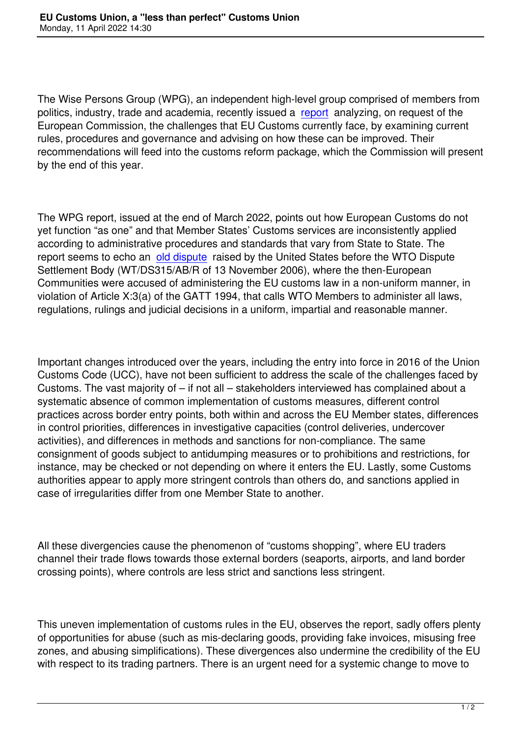The Wise Persons Group (WPG), an independent high-level group comprised of members from politics, industry, trade and academia, recently issued a report analyzing, on request of the European Commission, the challenges that EU Customs currently face, by examining current rules, procedures and governance and advising on how these can be improved. Their recommendations will feed into the customs reform pack[age, w](https://ec.europa.eu/taxation_customs/system/files/2022-03/TAX-20-002-Future%20customs-REPORT_BIS_v5%20%28WEB%29.pdf)hich the Commission will present by the end of this year.

The WPG report, issued at the end of March 2022, points out how European Customs do not yet function "as one" and that Member States' Customs services are inconsistently applied according to administrative procedures and standards that vary from State to State. The report seems to echo an old dispute raised by the United States before the WTO Dispute Settlement Body (WT/DS315/AB/R of 13 November 2006), where the then-European Communities were accused of administering the EU customs law in a non-uniform manner, in violation of Article X:3(a) [of the GATT](https://www.wto.org/english/tratop_e/dispu_e/315abr_e.doc) 1994, that calls WTO Members to administer all laws, regulations, rulings and judicial decisions in a uniform, impartial and reasonable manner.

Important changes introduced over the years, including the entry into force in 2016 of the Union Customs Code (UCC), have not been sufficient to address the scale of the challenges faced by Customs. The vast majority of – if not all – stakeholders interviewed has complained about a systematic absence of common implementation of customs measures, different control practices across border entry points, both within and across the EU Member states, differences in control priorities, differences in investigative capacities (control deliveries, undercover activities), and differences in methods and sanctions for non-compliance. The same consignment of goods subject to antidumping measures or to prohibitions and restrictions, for instance, may be checked or not depending on where it enters the EU. Lastly, some Customs authorities appear to apply more stringent controls than others do, and sanctions applied in case of irregularities differ from one Member State to another.

All these divergencies cause the phenomenon of "customs shopping", where EU traders channel their trade flows towards those external borders (seaports, airports, and land border crossing points), where controls are less strict and sanctions less stringent.

This uneven implementation of customs rules in the EU, observes the report, sadly offers plenty of opportunities for abuse (such as mis-declaring goods, providing fake invoices, misusing free zones, and abusing simplifications). These divergences also undermine the credibility of the EU with respect to its trading partners. There is an urgent need for a systemic change to move to